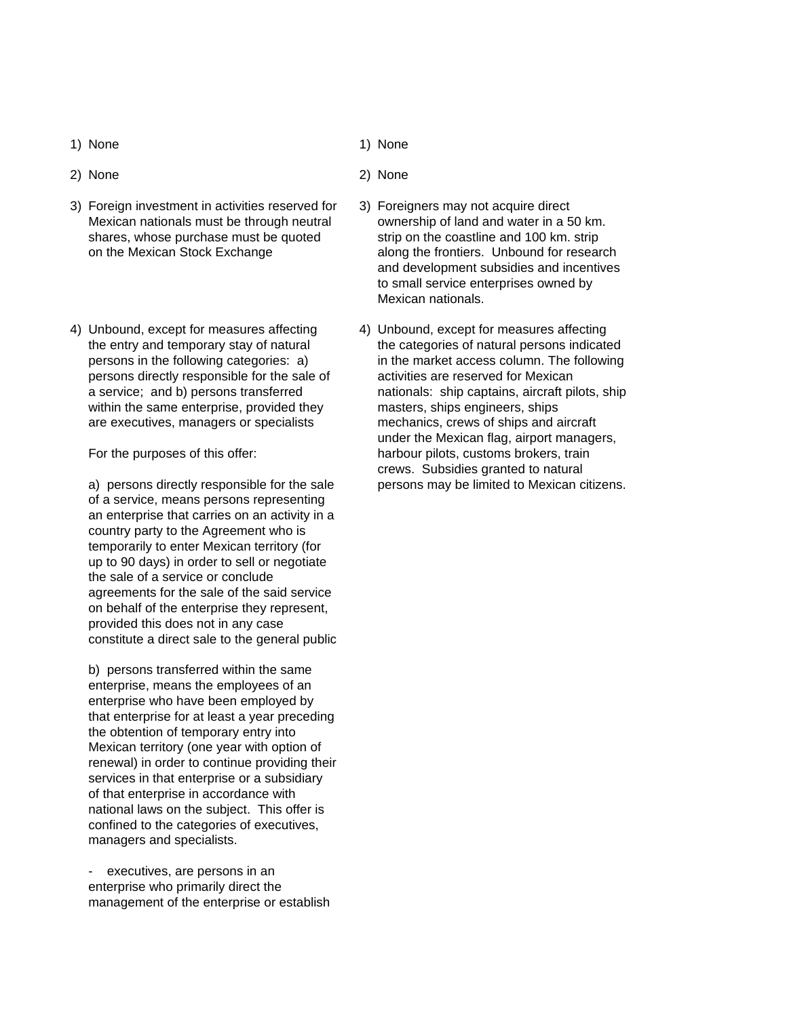- 
- 
- 3) Foreign investment in activities reserved for 3) Foreigners may not acquire direct Mexican nationals must be through neutral ownership of land and water in a 50 km. shares, whose purchase must be quoted strip on the coastline and 100 km. strip
- 4) Unbound, except for measures affecting 4) Unbound, except for measures affecting persons directly responsible for the sale of activities are reserved for Mexican within the same enterprise, provided they masters, ships engineers, ships are executives, managers or specialists mechanics, crews of ships and aircraft

of a service, means persons representing an enterprise that carries on an activity in a country party to the Agreement who is temporarily to enter Mexican territory (for up to 90 days) in order to sell or negotiate the sale of a service or conclude agreements for the sale of the said service on behalf of the enterprise they represent, provided this does not in any case constitute a direct sale to the general public

b) persons transferred within the same enterprise, means the employees of an enterprise who have been employed by that enterprise for at least a year preceding the obtention of temporary entry into Mexican territory (one year with option of renewal) in order to continue providing their services in that enterprise or a subsidiary of that enterprise in accordance with national laws on the subject. This offer is confined to the categories of executives, managers and specialists.

executives, are persons in an enterprise who primarily direct the management of the enterprise or establish

- 1) None 1) None
- 2) None 2) None
	- on the Mexican Stock Exchange along the frontiers. Unbound for research and development subsidies and incentives to small service enterprises owned by Mexican nationals.
	- the entry and temporary stay of natural the categories of natural persons indicated persons in the following categories: a) in the market access column. The following a service; and b) persons transferred nationals: ship captains, aircraft pilots, ship under the Mexican flag, airport managers, For the purposes of this offer: harbour pilots, customs brokers, train crews. Subsidies granted to natural a) persons directly responsible for the sale persons may be limited to Mexican citizens.